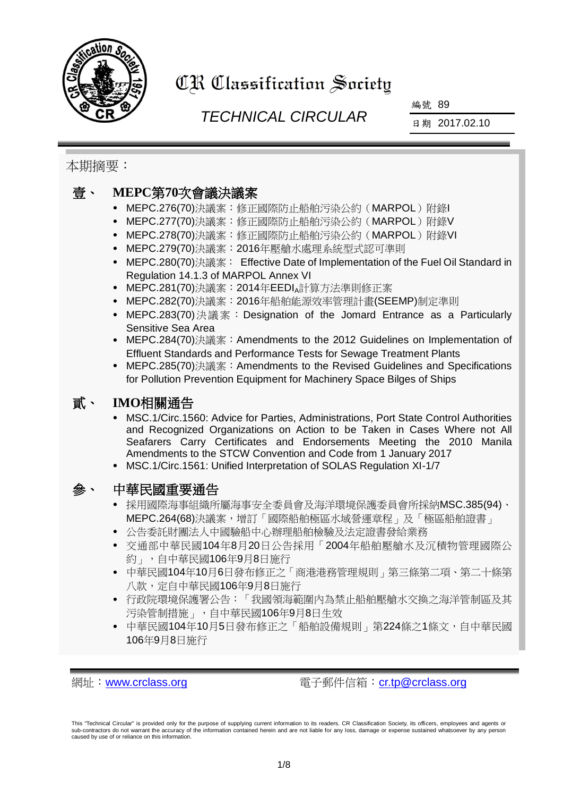

# CR Classification Society

## *TECHNICAL CIRCULAR*

編號 89

日期 2017.02.10

本期摘要:

### 壹、 **MEPC**第**70**次會議決議案

- MEPC.276(70)決議案:修正國際防止船舶污染公約(MARPOL)附錄I
- MEPC.277(70)決議案:修正國際防止船舶污染公約 (MARPOL)附錄V
- MEPC.278(70)決議案:修正國際防止船舶污染公約(MARPOL)附錄VI
- MEPC.279(70)決議案:2016年壓艙水處理系統型式認可準則
- MEPC.280(70)決議案: Effective Date of Implementation of the Fuel Oil Standard in Regulation 14.1.3 of MARPOL Annex VI
- MEPC.281(70)決議案:2014年EEDIA計算方法準則修正案
- MEPC.282(70)決議案: 2016年船舶能源效率管理計書(SEEMP)制定準則
- MEPC.283(70)決議案:Designation of the Jomard Entrance as a Particularly Sensitive Sea Area
- MEPC.284(70)決議案:Amendments to the 2012 Guidelines on Implementation of Effluent Standards and Performance Tests for Sewage Treatment Plants
- MEPC.285(70)決議案:Amendments to the Revised Guidelines and Specifications for Pollution Prevention Equipment for Machinery Space Bilges of Ships

### 貳、 **IMO**相關通告

- MSC.1/Circ.1560: Advice for Parties, Administrations, Port State Control Authorities and Recognized Organizations on Action to be Taken in Cases Where not All Seafarers Carry Certificates and Endorsements Meeting the 2010 Manila Amendments to the STCW Convention and Code from 1 January 2017
- MSC.1/Circ.1561: Unified Interpretation of SOLAS Regulation XI-1/7

#### 參、 中華民國重要通告

- 採用國際海事組織所屬海事安全委員會及海洋環境保護委員會所採納MSC.385(94)、 MEPC.264(68)決議案,增訂「國際船舶極區水域營運章程」及「極區船舶證書」
- 公告委託財團法人中國驗船中心辦理船舶檢驗及法定證書發給業務
- 交通部中華民國104年8月20日公告採用「2004年船舶壓艙水及沉積物管理國際公 約」,自中華民國106年9月8日施行
- 中華民國104年10月6日發布修正之「商港港務管理規則」第三條第二項、第二十條第 八款,定自中華民國106年9月8日施行
- 行政院環境保護署公告:「我國領海範圍內為禁止船舶壓艙水交換之海洋管制區及其 污染管制措施」,自中華民國106年9月8日生效
- 中華民國104年10月5日發布修正之「船舶設備規則」第224條之1條文,自中華民國 106年9月8日施行

網址:[www.crclass.org](http://www.crclass.org/) 電子郵件信箱:[cr.tp@crclass.org](mailto:cr.tp@crclass.org)

This "Technical Circular" is provided only for the purpose of supplying current information to its readers. CR Classification Society, its officers, employees and agents or sub-contractors do not warrant the accuracy of the information contained herein and are not liable for any loss, damage or expense sustained whatsoever by any person caused by use of or reliance on this information.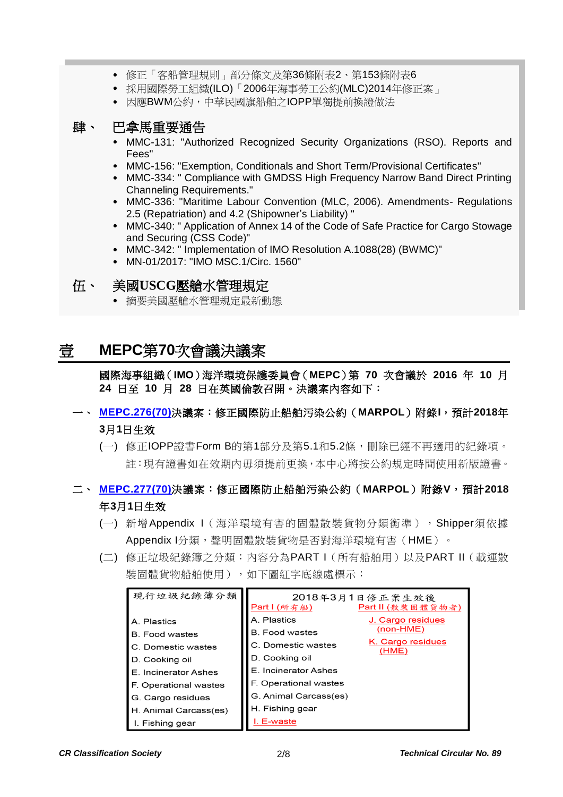- 修正「客船管理規則」部分條文及第36條附表2、第153條附表6
- 採用國際勞工組織(ILO)「2006年海事勞工公約(MLC)2014年修正案」
- 因應BWM公約,中華民國旗船舶之IOPP單獨提前換證做法

#### 肆、 巴拿馬重要通告

- MMC-131: "Authorized Recognized Security Organizations (RSO). Reports and Fees"
- MMC-156: "Exemption, Conditionals and Short Term/Provisional Certificates"
- MMC-334: " Compliance with GMDSS High Frequency Narrow Band Direct Printing Channeling Requirements."
- MMC-336: "Maritime Labour Convention (MLC, 2006). Amendments- Regulations 2.5 (Repatriation) and 4.2 (Shipowner's Liability) "
- MMC-340: " Application of Annex 14 of the Code of Safe Practice for Cargo Stowage and Securing (CSS Code)"
- MMC-342: " Implementation of IMO Resolution A.1088(28) (BWMC)"
- MN-01/2017: "IMO MSC.1/Circ. 1560"

#### 伍、 美國**USCG**壓艙水管理規定

摘要美國壓艙水管理規定最新動態

## 壹 **MEPC**第**70**次會議決議案

國際海事組織(**IMO**)海洋環境保護委員會(**MEPC**)第 **70** 次會議於 **2016** 年 **10** 月 **24** 日至 **10** 月 **28** 日在英國倫敦召開。決議案內容如下:

#### 一、 **[MEPC.276\(70\)](http://www.crclass.org/chinese/download/ti-tc/89/1-1%20MEPC.276(70).pdf)**決議案:修正國際防止船舶污染公約(**MARPOL**)附錄**I**,預計**2018**年 **3**月**1**日生效

(一) 修正IOPP證書Form B的第1部分及第5.1和5.2條,刪除已經不再適用的紀錄項。 註:現有證書如在效期內毋須提前更換,本中心將按公約規定時間使用新版證書。

#### 二、 **[MEPC.277\(70\)](http://www.crclass.org/chinese/download/ti-tc/89/1-2%20MEPC.277(70).pdf)**決議案:修正國際防止船舶污染公約(**MARPOL**)附錄**V**,預計**2018** 年**3**月**1**日生效

- (一) 新增Appendix I(海洋環境有害的固體散裝貨物分類衡準),Shipper須依據 Appendix I分類, 聲明固體散裝貨物是否對海洋環境有害(HME)。
- (二) 修正垃圾紀錄簿之分類:內容分為PART I(所有船舶用)以及PART II(載運散 装固體貨物船舶使用),如下圖紅字底線處標示:

| 現行垃圾紀錄簿分類             | Part 1 (所有船)          | 2018年3月1日修正案生效後<br>Part II (散裝固體貨物者) |
|-----------------------|-----------------------|--------------------------------------|
| A. Plastics           | A. Plastics           | J. Cargo residues                    |
| <b>B.</b> Food wastes | <b>B.</b> Food wastes | $(non-HME)$                          |
| C. Domestic wastes    | C. Domestic wastes    | K. Cargo residues<br>(HME)           |
| D. Cooking oil        | D. Cooking oil        |                                      |
| E. Incinerator Ashes  | E. Incinerator Ashes  |                                      |
| F. Operational wastes | F. Operational wastes |                                      |
| G. Cargo residues     | G. Animal Carcass(es) |                                      |
| H. Animal Carcass(es) | H. Fishing gear       |                                      |
| I. Fishing gear       | I. E-waste            |                                      |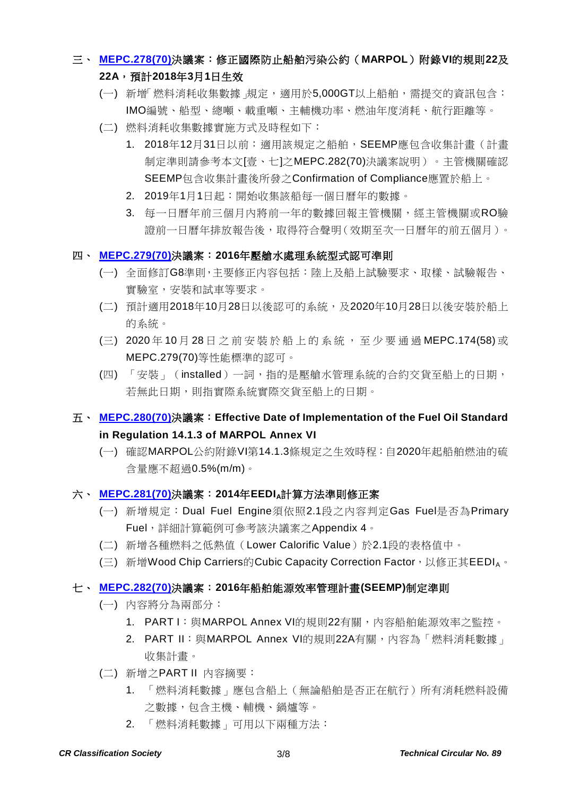#### 三、 **[MEPC.278\(70\)](http://www.crclass.org/chinese/download/ti-tc/89/1-3%20MEPC.278(70).pdf)**決議案:修正國際防止船舶污染公約(**MARPOL**)附錄**VI**的規則**22**及

#### **22A**,預計**2018**年**3**月**1**日生效

- (一) 新增「燃料消耗收集數據」規定,適用於5,000GT以上船舶,需提交的資訊包含: IMO編號、船型、總噸、載重噸、主輔機功率、燃油年度消耗、航行距離等。
- (二) 燃料消耗收集數據實施方式及時程如下:
	- 1. 2018年12月31日以前: 適用該規定之船舶, SEEMP應包含收集計畫(計畫 制定準則請參考本文[壹、七]之MEPC.282(70)決議案說明)。主管機關確認 SEEMP包含收集計畫後所發之Confirmation of Compliance應置於船上。
	- 2. 2019年1月1日起:開始收集該船每一個日曆年的數據。
	- 3. 每一日曆年前三個月內將前一年的數據回報主管機關,經主管機關或RO驗 證前一日曆年排放報告後,取得符合聲明(效期至次一日曆年的前五個月)。
- 四、 **[MEPC.279\(70\)](http://www.crclass.org/chinese/download/ti-tc/89/1-4%20MEPC.279(70).pdf)**決議案:**2016**年壓艙水處理系統型式認可準則
	- (一) 全面修訂G8準則,主要修正內容包括:陸上及船上試驗要求、取樣、試驗報告、 實驗室,安裝和試車等要求。
	- (二) 預計適用2018年10月28日以後認可的系統,及2020年10月28日以後安裝於船上 的系統。
	- (三) 2020 年 10 月 28 日 之 前 安 裝 於 船 上 的 系 統 , 至 少 要 通 過 MEPC.174(58) 或 MEPC.279(70)等性能標準的認可。
	- (四) 「安裝」(installed)一詞,指的是壓艙水管理系統的合約交貨至船上的日期, 若無此日期,則指實際系統實際交貨至船上的日期。
- 五、 **[MEPC.280\(70\)](http://www.crclass.org/chinese/download/ti-tc/89/1-5%20MEPC.280(70).pdf)**決議案:**Effective Date of Implementation of the Fuel Oil Standard in Regulation 14.1.3 of MARPOL Annex VI**
	- (一) 確認MARPOL公約附錄VI第14.1.3條規定之生效時程:自2020年起船舶燃油的硫 含量應不超過0.5%(m/m)。

#### 六、 **[MEPC.281\(70\)](http://www.crclass.org/chinese/download/ti-tc/89/1-6%20MEPC.281(70).pdf)**決議案:**2014**年**EEDIA**計算方法準則修正案

- (一) 新增規定:Dual Fuel Engine須依照2.1段之內容判定Gas Fuel是否為Primary Fuel, 詳細計算範例可參考該決議案之Appendix 4。
- (二) 新增各種燃料之低熱值(Lower Calorific Value)於2.1段的表格值中。
- (三) 新增Wood Chip Carriers的Cubic Capacity Correction Factor,以修正其EEDIA。

#### 七、 **[MEPC.282\(70\)](http://www.crclass.org/chinese/download/ti-tc/89/1-7%20MEPC.282(70).pdf)**決議案:**2016**年船舶能源效率管理計畫**(SEEMP)**制定準則

- (一) 內容將分為兩部分:
	- 1. PART I: 與MARPOL Annex VI的規則22有關,內容船舶能源效率之監控。
	- 2. PART II: 與MARPOL Annex VI的規則22A有關,內容為「燃料消耗數據」 收集計畫。
- (二) 新增之PART II 內容摘要:
	- 1. 「燃料消耗數據」應包含船上(無論船舶是否正在航行)所有消耗燃料設備 之數據,包含主機、輔機、鍋爐等。
	- 2. 「燃料消耗數據」可用以下兩種方法: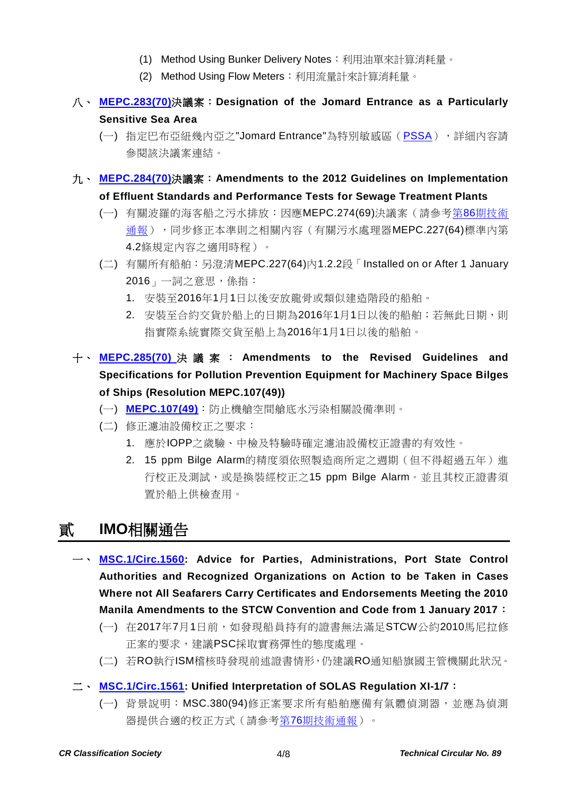- (1) Method Using Bunker Delivery Notes:利用油單來計算消耗量。
- (2) Method Using Flow Meters: 利用流量計來計算消耗量。
- 八、 **[MEPC.283\(70\)](http://www.crclass.org/chinese/download/ti-tc/89/1-8%20MEPC.283(70).pdf)**決議案:**Designation of the Jomard Entrance as a Particularly Sensitive Sea Area**
	- (一) 指定巴布亞紐幾內亞之"Jomard Entrance"為特別敏感區 ([PSSA](http://www.imo.org/en/OurWork/Environment/PSSAs/Pages/Default.aspx)), 詳細內容請 參閱該決議案連結。
- 九、 **[MEPC.284\(70\)](http://www.crclass.org/chinese/download/ti-tc/89/1-9%20MEPC.284(70).pdf)**決議案:**Amendments to the 2012 Guidelines on Implementation of Effluent Standards and Performance Tests for Sewage Treatment Plants**
	- (一) 有關波羅的海客船之污水排放:因應MEPC.274(69)決議案(請參考第86[期技術](http://www.crclass.org/chinese/download/ti-tc/86/86.pdf) [通報\)](http://www.crclass.org/chinese/download/ti-tc/86/86.pdf),同步修正本準則之相關內容(有關污水處理器MEPC.227(64)標準內第 4.2條規定內容之適用時程)。
	- (二) 有關所有船舶:另澄清MEPC.227(64)內1.2.2段「Installed on or After 1 January 2016」一詞之意思,係指:
		- 1. 安裝至2016年1月1日以後安放龍骨或類似建造階段的船舶。
		- 2. 安裝至合約交貨於船上的日期為2016年1月1日以後的船舶;若無此日期,則 指實際系統實際交貨至船上為2016年1月1日以後的船舶。
- 十、 **[MEPC.285\(70\)](http://www.crclass.org/chinese/download/ti-tc/89/1-10%20MEPC.285(70).pdf)** 決議案: **Amendments to the Revised Guidelines and Specifications for Pollution Prevention Equipment for Machinery Space Bilges of Ships (Resolution MEPC.107(49))**
	- (一) **[MEPC.107\(49\)](http://www.crclass.org/chinese/download/ti-tc/89/1-11%20MEPC.107(49).pdf)**:防止機艙空間艙底水污染相關設備準則。
	- (二) 修正濾油設備校正之要求:
		- 1. 應於IOPP之歲驗、中檢及特驗時確定濾油設備校正證書的有效性。
		- 2. 15 ppm Bilge Alarm的精度須依照製造商所定之週期(但不得超過五年)進 行校正及測試,或是換裝經校正之15 ppm Bilge Alarm。並且其校正證書須 置於船上供檢查用。

## 貳 **IMO**相關通告

- 一、 **[MSC.1/Circ.1560:](http://www.crclass.org/chinese/download/ti-tc/89/2-1%20MSC.1-Circ.1560.pdf) Advice for Parties, Administrations, Port State Control Authorities and Recognized Organizations on Action to be Taken in Cases Where not All Seafarers Carry Certificates and Endorsements Meeting the 2010 Manila Amendments to the STCW Convention and Code from 1 January 2017**:
	- (一) 在2017年7月1日前,如發現船員持有的證書無法滿足STCW公約2010馬尼拉修 正案的要求,建議PSC採取實務彈性的態度處理。
	- (二) 若RO執行ISM稽核時發現前述證書情形,仍建議RO通知船旗國主管機關此狀況。
- 二、 **[MSC.1/Circ.1561:](http://www.crclass.org/chinese/download/ti-tc/89/2-2%20MSC.1-Circ.1561%20-%20Provision%20of%20suitable%20means%20for%20the%20calibration%20of%20portable%20atmosphere%20testing%20instruments%20(Secretariat)%20(1).pdf) Unified Interpretation of SOLAS Regulation XI-1/7**:
	- (一) 背景說明:MSC.380(94)修正案要求所有船舶應備有氣體偵測器,並應為偵測 器提供合適的校正方式(請參考第76[期技術通報\)](http://www.crclass.org/chinese/download/ti-tc/76/76.pdf)。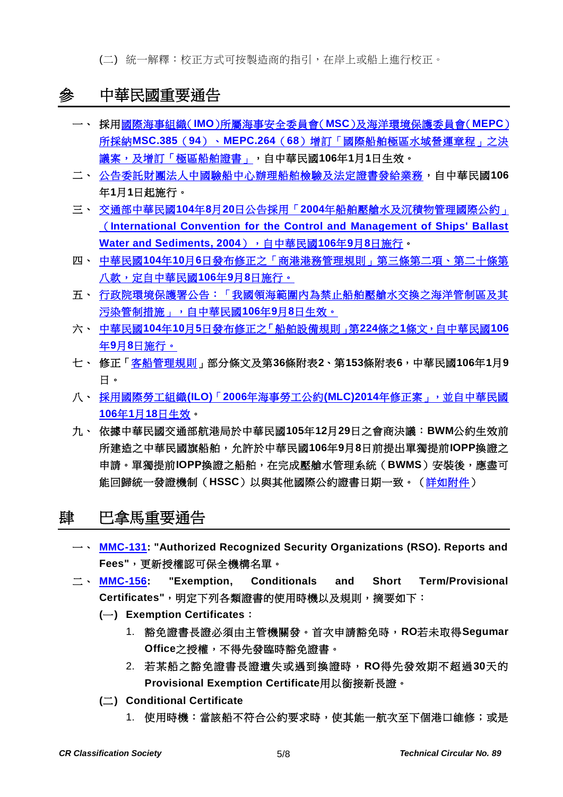(二) 統一解釋:校正方式可按製造商的指引,在岸上或船上進行校正。

## 參 中華民國重要通告

- 一、 採用國際海事組織(**IMO**)所屬海事安全委員會(**MSC**[\)及海洋環境保護委員會\(](http://odmdoc.motc.gov.tw/IFDEWebBBS_MOTC/ExternalBBS.aspx?ThirdDocId=106RD00465)**MEPC**) 所採納**MSC.385**(**94**)、**MEPC.264**(**68**[\)增訂「國際船舶極區水域營運章程」之決](http://odmdoc.motc.gov.tw/IFDEWebBBS_MOTC/ExternalBBS.aspx?ThirdDocId=106RD00465) [議案,及增訂「極區船舶證書」,](http://odmdoc.motc.gov.tw/IFDEWebBBS_MOTC/ExternalBBS.aspx?ThirdDocId=106RD00465)自中華民國**106**年**1**月**1**日生效。
- 二、 [公告委託財團法人中國驗船中心辦理船舶檢驗及法定證書發給業務,](http://odmdoc.motc.gov.tw/IFDEWebBBS_MOTC/ExternalBBS.aspx?ThirdDocId=106RD00469)自中華民國**106** 年**1**月**1**日起施行。
- 三、 交通部中華民國**104**年**8**月**20**日公告採用「**2004**[年船舶壓艙水及沉積物管理國際公約」](http://gazette.nat.gov.tw/egFront/detail.do?metaid=87180&log=detailLog) (**[International Convention for the Control and Management of Ships' Ballast](http://gazette.nat.gov.tw/egFront/detail.do?metaid=87180&log=detailLog)  [Water and Sediments, 2004](http://gazette.nat.gov.tw/egFront/detail.do?metaid=87180&log=detailLog)**),自中華民國**106**年**9**月**8**日施行。
- 四、 中華民國**104**年**10**月**6**[日發布修正之「商港港務管理規則」第三條第二項、第二十條第](http://odmdoc.motc.gov.tw/IFDEWebBBS_MOTC/ExternalBBS.aspx?ThirdDocId=106RD00453) [八款,定自中華民國](http://odmdoc.motc.gov.tw/IFDEWebBBS_MOTC/ExternalBBS.aspx?ThirdDocId=106RD00453)**106**年**9**月**8**日施行。
- [五、 行政院環境保護署公告:「我國領海範圍內為禁止船舶壓艙水交換之海洋管制區及其](http://a0-oaout.epa.gov.tw/law/NewsContent.aspx?id=280) [污染管制措施」,自中華民國](http://a0-oaout.epa.gov.tw/law/NewsContent.aspx?id=280)**106**年**9**月**8**日生效。
- 六、 中華民國**104**年**10**月**5**[日發布修正之「船舶設備規則」第](http://odmdoc.motc.gov.tw/IFDEWebBBS_MOTC/ExternalBBS.aspx?ThirdDocId=106RD00454)**224**條之**1**條文,自中華民國**106** 年**9**月**8**[日施行。](http://odmdoc.motc.gov.tw/IFDEWebBBS_MOTC/ExternalBBS.aspx?ThirdDocId=106RD00454)
- 七、 修正[「客船管理規則」](http://gazette.nat.gov.tw/egFront/detail.do?metaid=88465&log=detailLog)部分條文及第**36**條附表**2**、第**153**條附表**6**,中華民國**106**年**1**月**9** 日。
- 八、 採用國際勞工組織**(ILO)**「**2006**年海事勞工公約**(MLC)2014**[年修正案」,並自中華民國](http://odmdoc.motc.gov.tw/IFDEWebBBS_MOTC/ExternalBBS.aspx?ThirdDocId=106RD00477) **106**年**1**月**18**[日生效。](http://odmdoc.motc.gov.tw/IFDEWebBBS_MOTC/ExternalBBS.aspx?ThirdDocId=106RD00477)
- 九、 依據中華民國交通部航港局於中華民國**105**年**12**月**29**日之會商決議:**BWM**公約生效前 所建造之中華民國旗船舶,允許於中華民國**106**年**9**月**8**日前提出單獨提前**IOPP**換證之 申請。單獨提前**IOPP**換證之船舶,在完成壓艙水管理系統(**BWMS**)安裝後,應盡可 能回歸統一發證機制(**HSSC**)以與其他國際公約證書日期一致。[\(詳如附件\)](http://www.crclass.org/opennotice/opennotice.php?search=CR-17-001)

#### 肆 巴拿馬重要通告

- 一、 **[MMC-131:](http://www.crclass.org/chinese/download/ti-tc/89/4-1%20MMC-131-JANUARY-12-2017.pdf) "Authorized Recognized Security Organizations (RSO). Reports and Fees"**,更新授權認可保全機構名單。
- 二、 **[MMC-156:](http://www.crclass.org/chinese/download/ti-tc/89/4-2%20MMC-156-october-2016.pdf) "Exemption, Conditionals and Short Term/Provisional Certificates"**,明定下列各類證書的使用時機以及規則,摘要如下:
	- **(**一**) Exemption Certificates**:
		- 1. 豁免證書長證必須由主管機關發。首次申請豁免時,**RO**若未取得**Segumar Office**之授權,不得先發臨時豁免證書。
		- 2. 若某船之豁免證書長證遺失或遇到換證時,**RO**得先發效期不超過**30**天的 **Provisional Exemption Certificate**用以銜接新長證。
	- **(**二**) Conditional Certificate**
		- 1. 使用時機:當該船不符合公約要求時,使其能一航次至下個港口維修;或是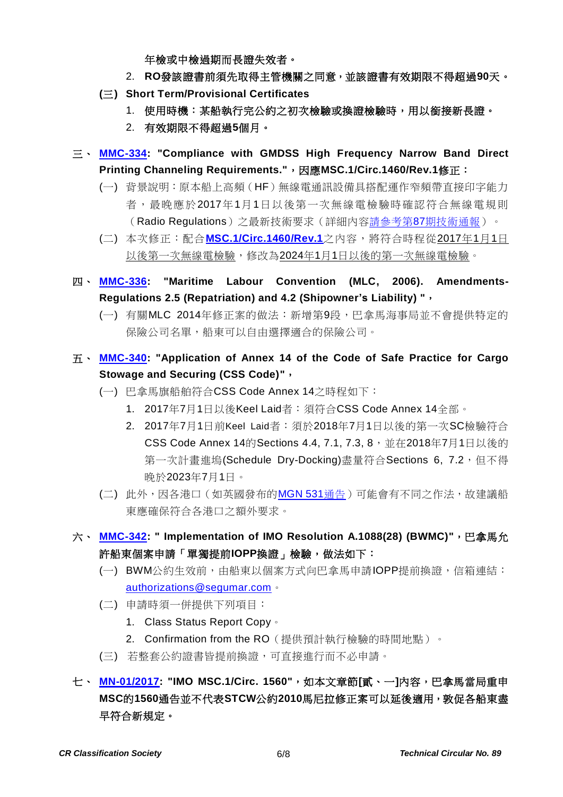年檢或中檢過期而長證失效者。

- 2. **RO**發該證書前須先取得主管機關之同意,並該證書有效期限不得超過**90**天。
- **(**三**) Short Term/Provisional Certificates**
	- 1. 使用時機:某船執行完公約之初次檢驗或換證檢驗時,用以銜接新長證。
	- 2. 有效期限不得超過**5**個月。
- 三、 **[MMC-334:](http://www.crclass.org/chinese/download/ti-tc/89/4-3%20MMC-334-Compliance-with-GMDSS-High-Frequency-Narrow-Band-Direct-Printing-Channeling-Requirements-dec-2016.pdf) "Compliance with GMDSS High Frequency Narrow Band Direct Printing Channeling Requirements."**,因應**MSC.1/Circ.1460/Rev.1**修正:
	- (一) 背景說明:原本船上高頻(HF)無線電通訊設備具搭配運作窄頻帶直接印字能力 者,最晚應於2017年1月1日以後第一次無線電檢驗時確認符合無線電規則 (Radio Regulations)之最新技術要求(詳細內容請參考第87[期技術通報\)](http://www.crclass.org/chinese/download/ti-tc/87/87.pdf)。
	- (二) 本次修正:配合**[MSC.1/Circ.1460/Rev.1](http://www.crclass.org/chinese/download/ti-tc/89/4-4%20MSC.1-Circ.1460-Rev.1%20-%20Guidance%20On%20The%20Validity%20Of%20Radiocommunications%20Equipment%20Installed%20And%20Used%20On%20Ships%20(Secretariat).pdf)**之內容,將符合時程從2017年1月1日 以後第一次無線電檢驗,修改為2024年1月1日以後的第一次無線電檢驗。
- 四、 **[MMC-336:](http://www.crclass.org/chinese/download/ti-tc/89/4-5%20MMC-336-MLC-16-December.pdf) "Maritime Labour Convention (MLC, 2006). Amendments-Regulations 2.5 (Repatriation) and 4.2 (Shipowner's Liability) "**,
	- (一) 有關MLC 2014年修正案的做法:新增第9段,巴拿馬海事局並不會提供特定的 保險公司名單,船東可以自由選擇適合的保險公司。
- 五、 **[MMC-340:](http://www.crclass.org/chinese/download/ti-tc/89/4-6%20MMC-340-2016.pdf) "Application of Annex 14 of the Code of Safe Practice for Cargo Stowage and Securing (CSS Code)"**,
	- (一) 巴拿馬旗船舶符合CSS Code Annex 14之時程如下:
		- 1. 2017年7月1日以後Keel Laid者:須符合CSS Code Annex 14全部。
		- 2. 2017年7月1日前Keel Laid者:須於2018年7月1日以後的第一次SC檢驗符合 CSS Code Annex 14的Sections 4.4, 7.1, 7.3, 8, 並在2018年7月1日以後的 第一次計畫進塢(Schedule Dry-Docking)盡量符合Sections 6, 7.2,但不得 晚於2023年7月1日。
	- (二) 此外,因各港口(如英國發布的[MGN 531](https://www.gov.uk/government/uploads/system/uploads/attachment_data/file/444429/MGN_531-gov.pdf)通告)可能會有不同之作法,故建議船 東應確保符合各港口之額外要求。
- 六、 **[MMC-342:](http://www.crclass.org/chinese/download/ti-tc/89/4-7%20MMC-342.pdf)** " Implementation of IMO Resolution A.1088(28) (BWMC)", 巴拿馬允 許船東個案申請「單獨提前**IOPP**換證」檢驗,做法如下:
	- (一) BWM公約生效前,由船東以個案方式向巴拿馬申請IOPP提前換證,信箱連結: [authorizations@segumar.com](mailto:authorizations@segumar.com)。
	- (二) 申請時須一併提供下列項目:
		- 1. Class Status Report Copy。
		- 2. Confirmation from the RO(提供預計執行檢驗的時間地點)。
	- (三) 若整套公約證書皆提前換證,可直接進行而不必申請。
- 七、 **[MN-01/2017:](http://www.crclass.org/chinese/download/ti-tc/89/4-8%20Marine-Notice-MN-01-manila-amendments-MSC-1-Circ-1560.pdf) "IMO MSC.1/Circ. 1560"**,如本文章節**[**貳、一**]**內容,巴拿馬當局重申 **MSC**的**1560**通告並不代表**STCW**公約**2010**馬尼拉修正案可以延後適用,敦促各船東盡 早符合新規定。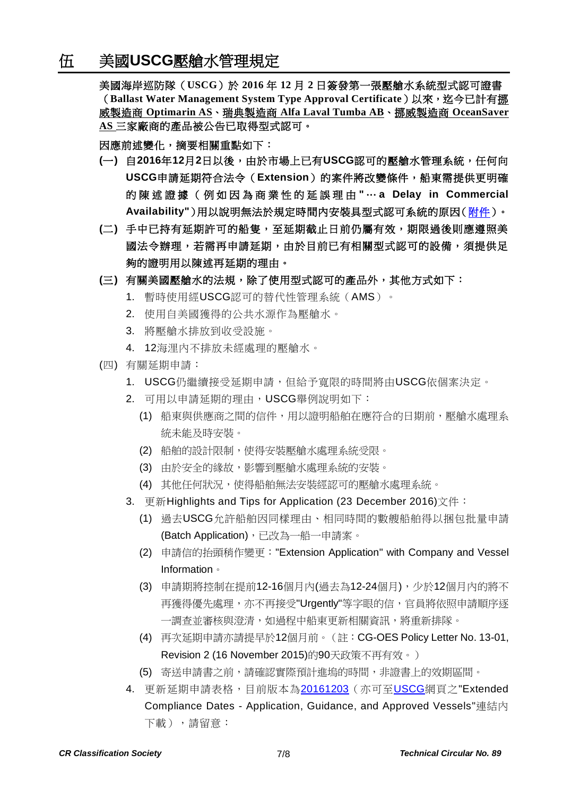美國海岸巡防隊(**USCG**)於 **2016** 年 **12** 月 **2** 日簽發第一張壓艙水系統型式認可證書 (**Ballast Water Management System Type Approval Certificate**)以來,迄今已計有挪 威製造商 **Optimarin AS**、瑞典製造商 **Alfa Laval Tumba AB**、挪威製造商 **OceanSaver AS** 三家廠商的產品被公告已取得型式認可。

因應前述變化,摘要相關重點如下:

- **(**一**)** 自**2016**年**12**月**2**日以後,由於市場上已有**USCG**認可的壓艙水管理系統,任何向 **USCG**申請延期符合法令(**Extension**)的案件將改變條件,船東需提供更明確 的 陳 述 證 據 ( 例 如 因 為 商 業 性 的 延 誤 理 由 **"** … **a Delay in Commercial Availability"**)用以說明無法於規定時間內安裝具型式認可系統的原因[\(附件\)](http://www.crclass.org/chinese/download/ti-tc/89/5-1%20Ballast%20Water%20Management%20(BWM)%20Extension%20Program%20Update.pdf)。
- **(**二**)** 手中已持有延期許可的船隻,至延期截止日前仍屬有效,期限過後則應遵照美 國法令辦理,若需再申請延期,由於目前已有相關型式認可的設備,須提供足 夠的證明用以陳述再延期的理由。
- **(**三**)** 有關美國壓艙水的法規,除了使用型式認可的產品外,其他方式如下:
	- 1. 暫時使用經USCG認可的替代性管理系統(AMS)。
	- 2. 使用自美國獲得的公共水源作為壓艙水。
	- 3. 將壓艙水排放到收受設施。
	- 4. 12海浬內不排放未經處理的壓艙水。
- (四) 有關延期申請:
	- 1. USCG仍繼續接受延期申請,但給予寬限的時間將由USCG依個案決定。
	- 2. 可用以申請延期的理由,USCG舉例說明如下:
		- (1) 船東與供應商之間的信件,用以證明船舶在應符合的日期前,壓艙水處理系 統未能及時安裝。
		- (2) 船舶的設計限制,使得安裝壓艙水處理系統受限。
		- (3) 由於安全的緣故,影響到壓艙水處理系統的安裝。
		- (4) 其他任何狀況,使得船舶無法安裝經認可的壓艙水處理系統。
	- 3. 更新Highlights and Tips for Application (23 December 2016)文件:
		- (1) 過去USCG允許船舶因同樣理由、相同時間的數艘船舶得以捆包批量申請 (Batch Application),已改為一船一申請案。
		- (2) 申請信的抬頭稍作變更:"Extension Application" with Company and Vessel Information。
		- (3) 申請期將控制在提前12-16個月內(過去為12-24個月),少於12個月內的將不 再獲得優先處理,亦不再接受"Urgently"等字眼的信,官員將依照申請順序逐 一調查並審核與澄清,如過程中船東更新相關資訊,將重新排隊。
		- (4) 再次延期申請亦請提早於12個月前。(註:CG-OES Policy Letter No. 13-01, Revision 2 (16 November 2015)的90天政策不再有效。)
		- (5) 寄送申請書之前,請確認實際預計進塢的時間,非證書上的效期區間。
	- 4. 更新延期申請表格,目前版本為[20161203](http://www.crclass.org/chinese/download/ti-tc/89/5-2%20Extension%20Application%20Version%2020161203.pdf) (亦可至[USCG](http://homeport.uscg.mil/ballastwater)網頁之"Extended Compliance Dates - Application, Guidance, and Approved Vessels"連結內 下載),請留意: